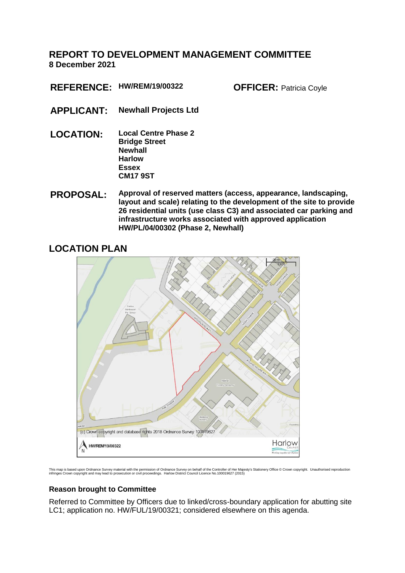# **REPORT TO DEVELOPMENT MANAGEMENT COMMITTEE 8 December 2021**

**REFERENCE: HW/REM/19/00322 OFFICER:** Patricia Coyle

- **APPLICANT: Newhall Projects Ltd**
- **LOCATION: Local Centre Phase 2 Bridge Street Newhall Harlow Essex CM17 9ST**
- **PROPOSAL: Approval of reserved matters (access, appearance, landscaping, layout and scale) relating to the development of the site to provide 26 residential units (use class C3) and associated car parking and infrastructure works associated with approved application HW/PL/04/00302 (Phase 2, Newhall)**

# **LOCATION PLAN**



This map is based upon Ordnance Survey material with the permission of Ordnance Survey on behalf of the Controller of Her Majesty's Stationery Office © Crown copyright. Unauthorised reproduction<br>infringes Crown copyright

## **Reason brought to Committee**

Referred to Committee by Officers due to linked/cross-boundary application for abutting site LC1; application no. HW/FUL/19/00321; considered elsewhere on this agenda.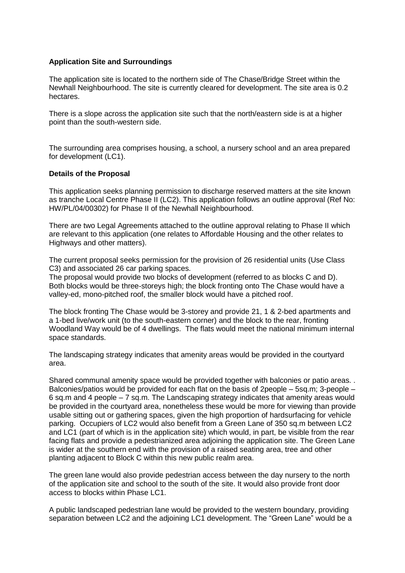### **Application Site and Surroundings**

The application site is located to the northern side of The Chase/Bridge Street within the Newhall Neighbourhood. The site is currently cleared for development. The site area is 0.2 hectares.

There is a slope across the application site such that the north/eastern side is at a higher point than the south-western side.

The surrounding area comprises housing, a school, a nursery school and an area prepared for development (LC1).

### **Details of the Proposal**

This application seeks planning permission to discharge reserved matters at the site known as tranche Local Centre Phase II (LC2). This application follows an outline approval (Ref No: HW/PL/04/00302) for Phase II of the Newhall Neighbourhood.

There are two Legal Agreements attached to the outline approval relating to Phase II which are relevant to this application (one relates to Affordable Housing and the other relates to Highways and other matters).

The current proposal seeks permission for the provision of 26 residential units (Use Class C3) and associated 26 car parking spaces.

The proposal would provide two blocks of development (referred to as blocks C and D). Both blocks would be three-storeys high; the block fronting onto The Chase would have a valley-ed, mono-pitched roof, the smaller block would have a pitched roof.

The block fronting The Chase would be 3-storey and provide 21, 1 & 2-bed apartments and a 1-bed live/work unit (to the south-eastern corner) and the block to the rear, fronting Woodland Way would be of 4 dwellings. The flats would meet the national minimum internal space standards.

The landscaping strategy indicates that amenity areas would be provided in the courtyard area.

Shared communal amenity space would be provided together with balconies or patio areas. . Balconies/patios would be provided for each flat on the basis of 2people – 5sq.m; 3-people – 6 sq.m and 4 people – 7 sq.m. The Landscaping strategy indicates that amenity areas would be provided in the courtyard area, nonetheless these would be more for viewing than provide usable sitting out or gathering spaces, given the high proportion of hardsurfacing for vehicle parking. Occupiers of LC2 would also benefit from a Green Lane of 350 sq.m between LC2 and LC1 (part of which is in the application site) which would, in part, be visible from the rear facing flats and provide a pedestrianized area adjoining the application site. The Green Lane is wider at the southern end with the provision of a raised seating area, tree and other planting adjacent to Block C within this new public realm area.

The green lane would also provide pedestrian access between the day nursery to the north of the application site and school to the south of the site. It would also provide front door access to blocks within Phase LC1.

A public landscaped pedestrian lane would be provided to the western boundary, providing separation between LC2 and the adjoining LC1 development. The "Green Lane" would be a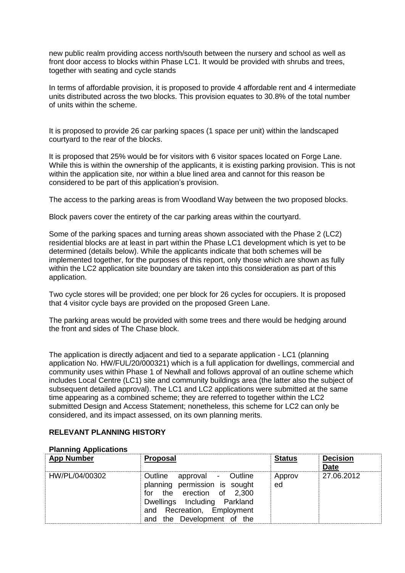new public realm providing access north/south between the nursery and school as well as front door access to blocks within Phase LC1. It would be provided with shrubs and trees, together with seating and cycle stands

In terms of affordable provision, it is proposed to provide 4 affordable rent and 4 intermediate units distributed across the two blocks. This provision equates to 30.8% of the total number of units within the scheme.

It is proposed to provide 26 car parking spaces (1 space per unit) within the landscaped courtyard to the rear of the blocks.

It is proposed that 25% would be for visitors with 6 visitor spaces located on Forge Lane. While this is within the ownership of the applicants, it is existing parking provision. This is not within the application site, nor within a blue lined area and cannot for this reason be considered to be part of this application's provision.

The access to the parking areas is from Woodland Way between the two proposed blocks.

Block pavers cover the entirety of the car parking areas within the courtyard.

Some of the parking spaces and turning areas shown associated with the Phase 2 (LC2) residential blocks are at least in part within the Phase LC1 development which is yet to be determined (details below). While the applicants indicate that both schemes will be implemented together, for the purposes of this report, only those which are shown as fully within the LC2 application site boundary are taken into this consideration as part of this application.

Two cycle stores will be provided; one per block for 26 cycles for occupiers. It is proposed that 4 visitor cycle bays are provided on the proposed Green Lane.

The parking areas would be provided with some trees and there would be hedging around the front and sides of The Chase block.

The application is directly adjacent and tied to a separate application - LC1 (planning application No. HW/FUL/20/000321) which is a full application for dwellings, commercial and community uses within Phase 1 of Newhall and follows approval of an outline scheme which includes Local Centre (LC1) site and community buildings area (the latter also the subject of subsequent detailed approval). The LC1 and LC2 applications were submitted at the same time appearing as a combined scheme; they are referred to together within the LC2 submitted Design and Access Statement; nonetheless, this scheme for LC2 can only be considered, and its impact assessed, on its own planning merits.

## **RELEVANT PLANNING HISTORY**

| <b>App Number</b> | Proposal                                                                                                                                                                             | <b>Status</b> | <b>Decision</b><br><b>Date</b> |
|-------------------|--------------------------------------------------------------------------------------------------------------------------------------------------------------------------------------|---------------|--------------------------------|
| HW/PL/04/00302    | Outline approval - Outline<br>planning permission is sought<br>for the erection of 2,300<br>Dwellings Including Parkland<br>and Recreation, Employment<br>and the Development of the | Approv<br>ed  | 27.06.2012                     |

### **Planning Applications**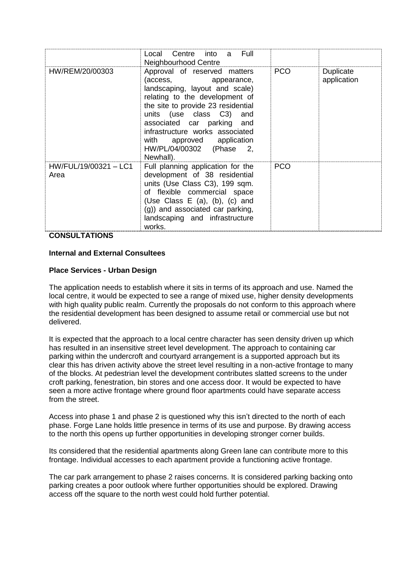|                               | Local Centre into a Full<br>Neighbourhood Centre                                                                                                                                                                                                                                                                                        |            |                          |
|-------------------------------|-----------------------------------------------------------------------------------------------------------------------------------------------------------------------------------------------------------------------------------------------------------------------------------------------------------------------------------------|------------|--------------------------|
| HW/REM/20/00303               | Approval of reserved matters<br>(access,<br>appearance,<br>landscaping, layout and scale)<br>relating to the development of<br>the site to provide 23 residential<br>units (use class C3) and<br>associated car parking and<br>infrastructure works associated<br>with<br>approved application<br>HW/PL/04/00302 (Phase 2,<br>Newhall). | <b>PCO</b> | Duplicate<br>application |
| HW/FUL/19/00321 - LC1<br>Area | Full planning application for the<br>development of 38 residential<br>units (Use Class C3), 199 sqm.<br>of flexible commercial space<br>(Use Class $E$ (a), (b), (c) and<br>(g)) and associated car parking,<br>landscaping and infrastructure<br>works.                                                                                | <b>PCO</b> |                          |

**CONSULTATIONS**

## **Internal and External Consultees**

## **Place Services - Urban Design**

The application needs to establish where it sits in terms of its approach and use. Named the local centre, it would be expected to see a range of mixed use, higher density developments with high quality public realm. Currently the proposals do not conform to this approach where the residential development has been designed to assume retail or commercial use but not delivered.

It is expected that the approach to a local centre character has seen density driven up which has resulted in an insensitive street level development. The approach to containing car parking within the undercroft and courtyard arrangement is a supported approach but its clear this has driven activity above the street level resulting in a non-active frontage to many of the blocks. At pedestrian level the development contributes slatted screens to the under croft parking, fenestration, bin stores and one access door. It would be expected to have seen a more active frontage where ground floor apartments could have separate access from the street.

Access into phase 1 and phase 2 is questioned why this isn't directed to the north of each phase. Forge Lane holds little presence in terms of its use and purpose. By drawing access to the north this opens up further opportunities in developing stronger corner builds.

Its considered that the residential apartments along Green lane can contribute more to this frontage. Individual accesses to each apartment provide a functioning active frontage.

The car park arrangement to phase 2 raises concerns. It is considered parking backing onto parking creates a poor outlook where further opportunities should be explored. Drawing access off the square to the north west could hold further potential.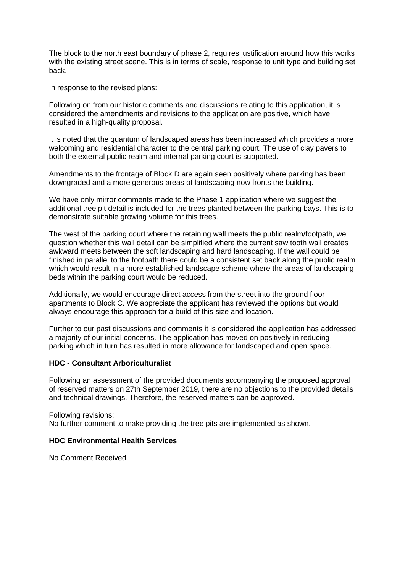The block to the north east boundary of phase 2, requires justification around how this works with the existing street scene. This is in terms of scale, response to unit type and building set back.

In response to the revised plans:

Following on from our historic comments and discussions relating to this application, it is considered the amendments and revisions to the application are positive, which have resulted in a high-quality proposal.

It is noted that the quantum of landscaped areas has been increased which provides a more welcoming and residential character to the central parking court. The use of clay pavers to both the external public realm and internal parking court is supported.

Amendments to the frontage of Block D are again seen positively where parking has been downgraded and a more generous areas of landscaping now fronts the building.

We have only mirror comments made to the Phase 1 application where we suggest the additional tree pit detail is included for the trees planted between the parking bays. This is to demonstrate suitable growing volume for this trees.

The west of the parking court where the retaining wall meets the public realm/footpath, we question whether this wall detail can be simplified where the current saw tooth wall creates awkward meets between the soft landscaping and hard landscaping. If the wall could be finished in parallel to the footpath there could be a consistent set back along the public realm which would result in a more established landscape scheme where the areas of landscaping beds within the parking court would be reduced.

Additionally, we would encourage direct access from the street into the ground floor apartments to Block C. We appreciate the applicant has reviewed the options but would always encourage this approach for a build of this size and location.

Further to our past discussions and comments it is considered the application has addressed a majority of our initial concerns. The application has moved on positively in reducing parking which in turn has resulted in more allowance for landscaped and open space.

### **HDC - Consultant Arboriculturalist**

Following an assessment of the provided documents accompanying the proposed approval of reserved matters on 27th September 2019, there are no objections to the provided details and technical drawings. Therefore, the reserved matters can be approved.

Following revisions: No further comment to make providing the tree pits are implemented as shown.

## **HDC Environmental Health Services**

No Comment Received.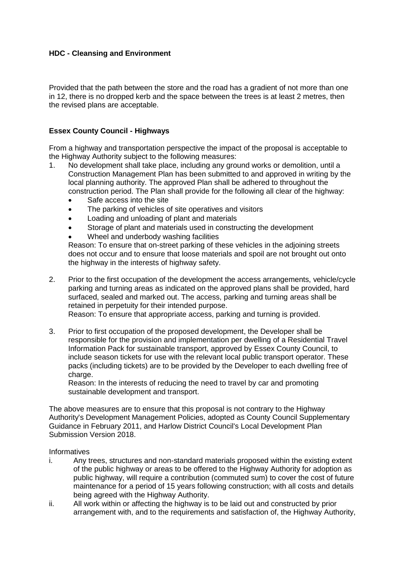## **HDC - Cleansing and Environment**

Provided that the path between the store and the road has a gradient of not more than one in 12, there is no dropped kerb and the space between the trees is at least 2 metres, then the revised plans are acceptable.

## **Essex County Council - Highways**

From a highway and transportation perspective the impact of the proposal is acceptable to the Highway Authority subject to the following measures:

- 1. No development shall take place, including any ground works or demolition, until a Construction Management Plan has been submitted to and approved in writing by the local planning authority. The approved Plan shall be adhered to throughout the construction period. The Plan shall provide for the following all clear of the highway:
	- Safe access into the site
	- The parking of vehicles of site operatives and visitors
	- Loading and unloading of plant and materials
	- Storage of plant and materials used in constructing the development
	- Wheel and underbody washing facilities

Reason: To ensure that on-street parking of these vehicles in the adjoining streets does not occur and to ensure that loose materials and spoil are not brought out onto the highway in the interests of highway safety.

- 2. Prior to the first occupation of the development the access arrangements, vehicle/cycle parking and turning areas as indicated on the approved plans shall be provided, hard surfaced, sealed and marked out. The access, parking and turning areas shall be retained in perpetuity for their intended purpose. Reason: To ensure that appropriate access, parking and turning is provided.
- 3. Prior to first occupation of the proposed development, the Developer shall be responsible for the provision and implementation per dwelling of a Residential Travel Information Pack for sustainable transport, approved by Essex County Council, to include season tickets for use with the relevant local public transport operator. These packs (including tickets) are to be provided by the Developer to each dwelling free of charge.

Reason: In the interests of reducing the need to travel by car and promoting sustainable development and transport.

The above measures are to ensure that this proposal is not contrary to the Highway Authority's Development Management Policies, adopted as County Council Supplementary Guidance in February 2011, and Harlow District Council's Local Development Plan Submission Version 2018.

Informatives

- i. Any trees, structures and non-standard materials proposed within the existing extent of the public highway or areas to be offered to the Highway Authority for adoption as public highway, will require a contribution (commuted sum) to cover the cost of future maintenance for a period of 15 years following construction; with all costs and details being agreed with the Highway Authority.
- ii. All work within or affecting the highway is to be laid out and constructed by prior arrangement with, and to the requirements and satisfaction of, the Highway Authority,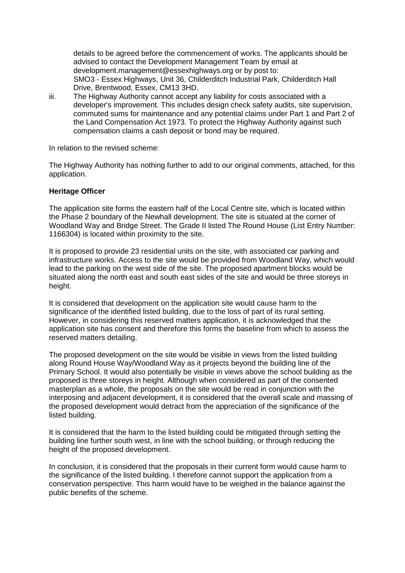details to be agreed before the commencement of works. The applicants should be advised to contact the Development Management Team by email at development.management@essexhighways.org or by post to: SMO3 - Essex Highways, Unit 36, Childerditch Industrial Park, Childerditch Hall Drive, Brentwood, Essex, CM13 3HD.

iii. The Highway Authority cannot accept any liability for costs associated with a developer's improvement. This includes design check safety audits, site supervision, commuted sums for maintenance and any potential claims under Part 1 and Part 2 of the Land Compensation Act 1973. To protect the Highway Authority against such compensation claims a cash deposit or bond may be required.

In relation to the revised scheme:

The Highway Authority has nothing further to add to our original comments, attached, for this application.

## **Heritage Officer**

The application site forms the eastern half of the Local Centre site, which is located within the Phase 2 boundary of the Newhall development. The site is situated at the corner of Woodland Way and Bridge Street. The Grade II listed The Round House (List Entry Number: 1166304) is located within proximity to the site.

It is proposed to provide 23 residential units on the site, with associated car parking and infrastructure works. Access to the site would be provided from Woodland Way, which would lead to the parking on the west side of the site. The proposed apartment blocks would be situated along the north east and south east sides of the site and would be three storeys in height.

It is considered that development on the application site would cause harm to the significance of the identified listed building, due to the loss of part of its rural setting. However, in considering this reserved matters application, it is acknowledged that the application site has consent and therefore this forms the baseline from which to assess the reserved matters detailing.

The proposed development on the site would be visible in views from the listed building along Round House Way/Woodland Way as it projects beyond the building line of the Primary School. It would also potentially be visible in views above the school building as the proposed is three storeys in height. Although when considered as part of the consented masterplan as a whole, the proposals on the site would be read in conjunction with the interposing and adjacent development, it is considered that the overall scale and massing of the proposed development would detract from the appreciation of the significance of the listed building.

It is considered that the harm to the listed building could be mitigated through setting the building line further south west, in line with the school building, or through reducing the height of the proposed development.

In conclusion, it is considered that the proposals in their current form would cause harm to the significance of the listed building. I therefore cannot support the application from a conservation perspective. This harm would have to be weighed in the balance against the public benefits of the scheme.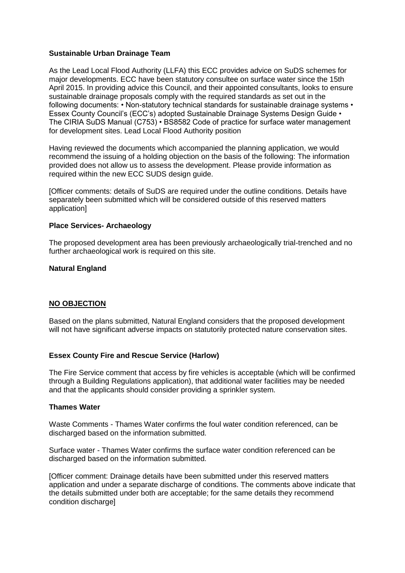## **Sustainable Urban Drainage Team**

As the Lead Local Flood Authority (LLFA) this ECC provides advice on SuDS schemes for major developments. ECC have been statutory consultee on surface water since the 15th April 2015. In providing advice this Council, and their appointed consultants, looks to ensure sustainable drainage proposals comply with the required standards as set out in the following documents: • Non-statutory technical standards for sustainable drainage systems • Essex County Council's (ECC's) adopted Sustainable Drainage Systems Design Guide • The CIRIA SuDS Manual (C753) • BS8582 Code of practice for surface water management for development sites. Lead Local Flood Authority position

Having reviewed the documents which accompanied the planning application, we would recommend the issuing of a holding objection on the basis of the following: The information provided does not allow us to assess the development. Please provide information as required within the new ECC SUDS design guide.

[Officer comments: details of SuDS are required under the outline conditions. Details have separately been submitted which will be considered outside of this reserved matters application]

### **Place Services- Archaeology**

The proposed development area has been previously archaeologically trial-trenched and no further archaeological work is required on this site.

### **Natural England**

## **NO OBJECTION**

Based on the plans submitted, Natural England considers that the proposed development will not have significant adverse impacts on statutorily protected nature conservation sites.

### **Essex County Fire and Rescue Service (Harlow)**

The Fire Service comment that access by fire vehicles is acceptable (which will be confirmed through a Building Regulations application), that additional water facilities may be needed and that the applicants should consider providing a sprinkler system.

### **Thames Water**

Waste Comments - Thames Water confirms the foul water condition referenced, can be discharged based on the information submitted.

Surface water - Thames Water confirms the surface water condition referenced can be discharged based on the information submitted.

[Officer comment: Drainage details have been submitted under this reserved matters application and under a separate discharge of conditions. The comments above indicate that the details submitted under both are acceptable; for the same details they recommend condition discharge]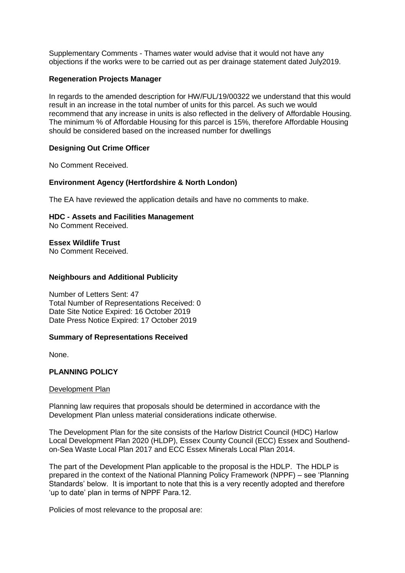Supplementary Comments - Thames water would advise that it would not have any objections if the works were to be carried out as per drainage statement dated July2019.

### **Regeneration Projects Manager**

In regards to the amended description for HW/FUL/19/00322 we understand that this would result in an increase in the total number of units for this parcel. As such we would recommend that any increase in units is also reflected in the delivery of Affordable Housing. The minimum % of Affordable Housing for this parcel is 15%, therefore Affordable Housing should be considered based on the increased number for dwellings

## **Designing Out Crime Officer**

No Comment Received.

## **Environment Agency (Hertfordshire & North London)**

The EA have reviewed the application details and have no comments to make.

**HDC - Assets and Facilities Management**

No Comment Received.

**Essex Wildlife Trust**

No Comment Received.

## **Neighbours and Additional Publicity**

Number of Letters Sent: 47 Total Number of Representations Received: 0 Date Site Notice Expired: 16 October 2019 Date Press Notice Expired: 17 October 2019

## **Summary of Representations Received**

None.

## **PLANNING POLICY**

## Development Plan

Planning law requires that proposals should be determined in accordance with the Development Plan unless material considerations indicate otherwise.

The Development Plan for the site consists of the Harlow District Council (HDC) Harlow Local Development Plan 2020 (HLDP), Essex County Council (ECC) Essex and Southendon-Sea Waste Local Plan 2017 and ECC Essex Minerals Local Plan 2014.

The part of the Development Plan applicable to the proposal is the HDLP. The HDLP is prepared in the context of the National Planning Policy Framework (NPPF) – see 'Planning Standards' below. It is important to note that this is a very recently adopted and therefore 'up to date' plan in terms of NPPF Para.12.

Policies of most relevance to the proposal are: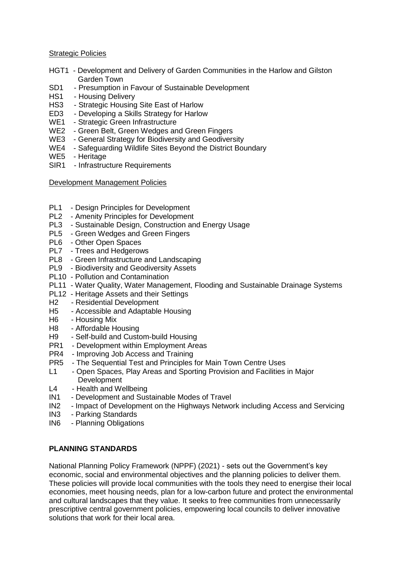### Strategic Policies

- HGT1 Development and Delivery of Garden Communities in the Harlow and Gilston Garden Town
- SD1 Presumption in Favour of Sustainable Development
- HS1 Housing Delivery
- HS3 Strategic Housing Site East of Harlow
- ED3 Developing a Skills Strategy for Harlow
- WE1 Strategic Green Infrastructure
- WE2 Green Belt, Green Wedges and Green Fingers
- WE3 General Strategy for Biodiversity and Geodiversity
- WE4 Safeguarding Wildlife Sites Beyond the District Boundary
- WE5 Heritage
- SIR1 Infrastructure Requirements

## Development Management Policies

- PL1 Design Principles for Development
- PL2 Amenity Principles for Development
- PL3 Sustainable Design, Construction and Energy Usage
- PL5 Green Wedges and Green Fingers
- PL6 Other Open Spaces
- PL7 Trees and Hedgerows
- PL8 Green Infrastructure and Landscaping
- PL9 Biodiversity and Geodiversity Assets
- PL10 Pollution and Contamination
- PL11 Water Quality, Water Management, Flooding and Sustainable Drainage Systems
- PL12 Heritage Assets and their Settings
- H2 Residential Development
- H5 Accessible and Adaptable Housing
- H6 Housing Mix
- H8 Affordable Housing
- H9 Self-build and Custom-build Housing
- PR1 Development within Employment Areas
- PR4 Improving Job Access and Training
- PR5 The Sequential Test and Principles for Main Town Centre Uses
- L1 Open Spaces, Play Areas and Sporting Provision and Facilities in Major **Development**
- L4 Health and Wellbeing
- IN1 Development and Sustainable Modes of Travel
- IN2 Impact of Development on the Highways Network including Access and Servicing
- IN3 Parking Standards
- IN6 Planning Obligations

## **PLANNING STANDARDS**

National Planning Policy Framework (NPPF) (2021) - sets out the Government's key economic, social and environmental objectives and the planning policies to deliver them. These policies will provide local communities with the tools they need to energise their local economies, meet housing needs, plan for a low-carbon future and protect the environmental and cultural landscapes that they value. It seeks to free communities from unnecessarily prescriptive central government policies, empowering local councils to deliver innovative solutions that work for their local area.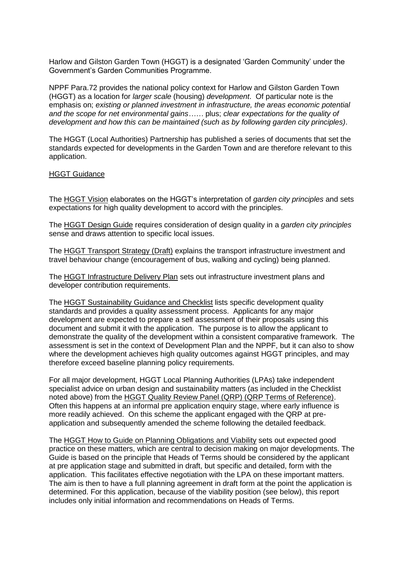Harlow and Gilston Garden Town (HGGT) is a designated 'Garden Community' under the Government's Garden Communities Programme.

NPPF Para.72 provides the national policy context for Harlow and Gilston Garden Town (HGGT) as a location for *larger scale* (housing) *development*. Of particular note is the emphasis on; *existing or planned investment in infrastructure, the areas economic potential and the scope for net environmental gains……* plus; *clear expectations for the quality of development and how this can be maintained (such as by following garden city principles)*.

The HGGT (Local Authorities) Partnership has published a series of documents that set the standards expected for developments in the Garden Town and are therefore relevant to this application.

### HGGT Guidance

The HGGT Vision elaborates on the HGGT's interpretation of *garden city principles* and sets expectations for high quality development to accord with the principles.

The HGGT Design Guide requires consideration of design quality in a *garden city principles* sense and draws attention to specific local issues.

The HGGT Transport Strategy (Draft) explains the transport infrastructure investment and travel behaviour change (encouragement of bus, walking and cycling) being planned.

The HGGT Infrastructure Delivery Plan sets out infrastructure investment plans and developer contribution requirements.

The HGGT Sustainability Guidance and Checklist lists specific development quality standards and provides a quality assessment process. Applicants for any major development are expected to prepare a self assessment of their proposals using this document and submit it with the application. The purpose is to allow the applicant to demonstrate the quality of the development within a consistent comparative framework. The assessment is set in the context of Development Plan and the NPPF, but it can also to show where the development achieves high quality outcomes against HGGT principles, and may therefore exceed baseline planning policy requirements.

For all major development, HGGT Local Planning Authorities (LPAs) take independent specialist advice on urban design and sustainability matters (as included in the Checklist noted above) from the HGGT Quality Review Panel (QRP) (QRP Terms of Reference). Often this happens at an informal pre application enquiry stage, where early influence is more readily achieved. On this scheme the applicant engaged with the QRP at preapplication and subsequently amended the scheme following the detailed feedback.

The HGGT How to Guide on Planning Obligations and Viability sets out expected good practice on these matters, which are central to decision making on major developments. The Guide is based on the principle that Heads of Terms should be considered by the applicant at pre application stage and submitted in draft, but specific and detailed, form with the application. This facilitates effective negotiation with the LPA on these important matters. The aim is then to have a full planning agreement in draft form at the point the application is determined. For this application, because of the viability position (see below), this report includes only initial information and recommendations on Heads of Terms.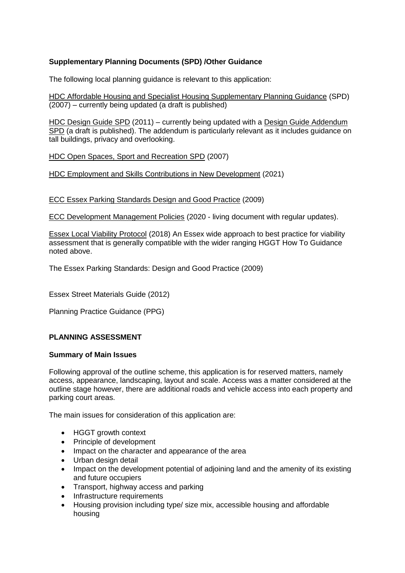## **Supplementary Planning Documents (SPD) /Other Guidance**

The following local planning guidance is relevant to this application:

HDC Affordable Housing and Specialist Housing Supplementary Planning Guidance (SPD) (2007) – currently being updated (a draft is published)

HDC Design Guide SPD (2011) – currently being updated with a Design Guide Addendum SPD (a draft is published). The addendum is particularly relevant as it includes guidance on tall buildings, privacy and overlooking.

HDC Open Spaces, Sport and Recreation SPD (2007)

HDC Employment and Skills Contributions in New Development (2021)

ECC Essex Parking Standards Design and Good Practice (2009)

ECC Development Management Policies (2020 - living document with regular updates).

Essex Local Viability Protocol (2018) An Essex wide approach to best practice for viability assessment that is generally compatible with the wider ranging HGGT How To Guidance noted above.

The Essex Parking Standards: Design and Good Practice (2009)

Essex Street Materials Guide (2012)

Planning Practice Guidance (PPG)

## **PLANNING ASSESSMENT**

## **Summary of Main Issues**

Following approval of the outline scheme, this application is for reserved matters, namely access, appearance, landscaping, layout and scale. Access was a matter considered at the outline stage however, there are additional roads and vehicle access into each property and parking court areas.

The main issues for consideration of this application are:

- HGGT growth context
- Principle of development
- Impact on the character and appearance of the area
- Urban design detail
- Impact on the development potential of adjoining land and the amenity of its existing and future occupiers
- Transport, highway access and parking
- Infrastructure requirements
- Housing provision including type/ size mix, accessible housing and affordable housing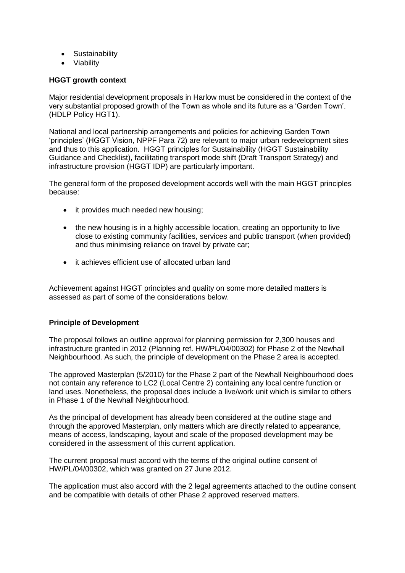- Sustainability
- Viability

## **HGGT growth context**

Major residential development proposals in Harlow must be considered in the context of the very substantial proposed growth of the Town as whole and its future as a 'Garden Town'. (HDLP Policy HGT1).

National and local partnership arrangements and policies for achieving Garden Town 'principles' (HGGT Vision, NPPF Para 72) are relevant to major urban redevelopment sites and thus to this application. HGGT principles for Sustainability (HGGT Sustainability Guidance and Checklist), facilitating transport mode shift (Draft Transport Strategy) and infrastructure provision (HGGT IDP) are particularly important.

The general form of the proposed development accords well with the main HGGT principles because:

- it provides much needed new housing;
- the new housing is in a highly accessible location, creating an opportunity to live close to existing community facilities, services and public transport (when provided) and thus minimising reliance on travel by private car;
- it achieves efficient use of allocated urban land

Achievement against HGGT principles and quality on some more detailed matters is assessed as part of some of the considerations below.

## **Principle of Development**

The proposal follows an outline approval for planning permission for 2,300 houses and infrastructure granted in 2012 (Planning ref. HW/PL/04/00302) for Phase 2 of the Newhall Neighbourhood. As such, the principle of development on the Phase 2 area is accepted.

The approved Masterplan (5/2010) for the Phase 2 part of the Newhall Neighbourhood does not contain any reference to LC2 (Local Centre 2) containing any local centre function or land uses. Nonetheless, the proposal does include a live/work unit which is similar to others in Phase 1 of the Newhall Neighbourhood.

As the principal of development has already been considered at the outline stage and through the approved Masterplan, only matters which are directly related to appearance, means of access, landscaping, layout and scale of the proposed development may be considered in the assessment of this current application.

The current proposal must accord with the terms of the original outline consent of HW/PL/04/00302, which was granted on 27 June 2012.

The application must also accord with the 2 legal agreements attached to the outline consent and be compatible with details of other Phase 2 approved reserved matters.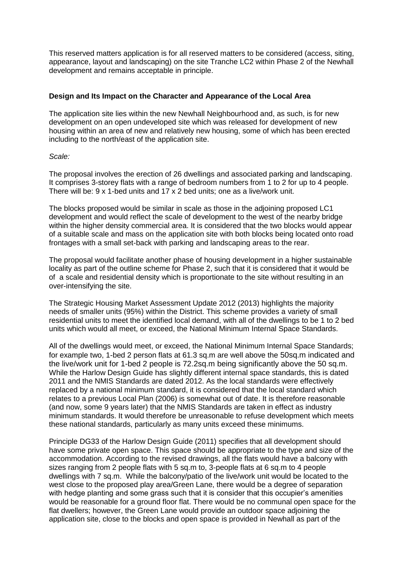This reserved matters application is for all reserved matters to be considered (access, siting, appearance, layout and landscaping) on the site Tranche LC2 within Phase 2 of the Newhall development and remains acceptable in principle.

### **Design and Its Impact on the Character and Appearance of the Local Area**

The application site lies within the new Newhall Neighbourhood and, as such, is for new development on an open undeveloped site which was released for development of new housing within an area of new and relatively new housing, some of which has been erected including to the north/east of the application site.

### *Scale:*

The proposal involves the erection of 26 dwellings and associated parking and landscaping. It comprises 3-storey flats with a range of bedroom numbers from 1 to 2 for up to 4 people. There will be: 9 x 1-bed units and 17 x 2 bed units; one as a live/work unit.

The blocks proposed would be similar in scale as those in the adjoining proposed LC1 development and would reflect the scale of development to the west of the nearby bridge within the higher density commercial area. It is considered that the two blocks would appear of a suitable scale and mass on the application site with both blocks being located onto road frontages with a small set-back with parking and landscaping areas to the rear.

The proposal would facilitate another phase of housing development in a higher sustainable locality as part of the outline scheme for Phase 2, such that it is considered that it would be of a scale and residential density which is proportionate to the site without resulting in an over-intensifying the site.

The Strategic Housing Market Assessment Update 2012 (2013) highlights the majority needs of smaller units (95%) within the District. This scheme provides a variety of small residential units to meet the identified local demand, with all of the dwellings to be 1 to 2 bed units which would all meet, or exceed, the National Minimum Internal Space Standards.

All of the dwellings would meet, or exceed, the National Minimum Internal Space Standards; for example two, 1-bed 2 person flats at 61.3 sq.m are well above the 50sq.m indicated and the live/work unit for 1-bed 2 people is 72.2sq.m being significantly above the 50 sq.m. While the Harlow Design Guide has slightly different internal space standards, this is dated 2011 and the NMIS Standards are dated 2012. As the local standards were effectively replaced by a national minimum standard, it is considered that the local standard which relates to a previous Local Plan (2006) is somewhat out of date. It is therefore reasonable (and now, some 9 years later) that the NMIS Standards are taken in effect as industry minimum standards. It would therefore be unreasonable to refuse development which meets these national standards, particularly as many units exceed these minimums.

Principle DG33 of the Harlow Design Guide (2011) specifies that all development should have some private open space. This space should be appropriate to the type and size of the accommodation. According to the revised drawings, all the flats would have a balcony with sizes ranging from 2 people flats with 5 sq.m to, 3-people flats at 6 sq.m to 4 people dwellings with 7 sq.m. While the balcony/patio of the live/work unit would be located to the west close to the proposed play area/Green Lane, there would be a degree of separation with hedge planting and some grass such that it is consider that this occupier's amenities would be reasonable for a ground floor flat. There would be no communal open space for the flat dwellers; however, the Green Lane would provide an outdoor space adjoining the application site, close to the blocks and open space is provided in Newhall as part of the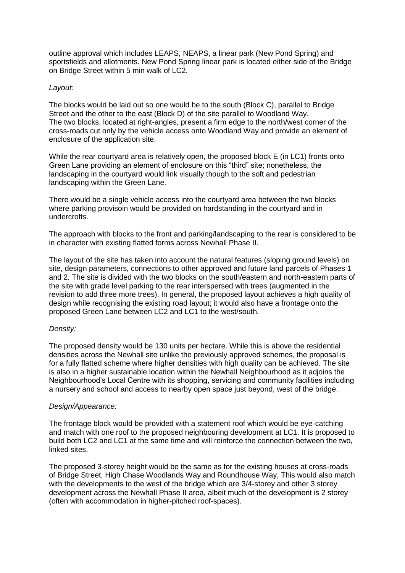outline approval which includes LEAPS, NEAPS, a linear park (New Pond Spring) and sportsfields and allotments. New Pond Spring linear park is located either side of the Bridge on Bridge Street within 5 min walk of LC2.

### *Layout:*

The blocks would be laid out so one would be to the south (Block C), parallel to Bridge Street and the other to the east (Block D) of the site parallel to Woodland Way. The two blocks, located at right-angles, present a firm edge to the north/west corner of the cross-roads cut only by the vehicle access onto Woodland Way and provide an element of enclosure of the application site.

While the rear courtyard area is relatively open, the proposed block E (in LC1) fronts onto Green Lane providing an element of enclosure on this "third" site; nonetheless, the landscaping in the courtyard would link visually though to the soft and pedestrian landscaping within the Green Lane.

There would be a single vehicle access into the courtyard area between the two blocks where parking provisoin would be provided on hardstanding in the courtyard and in undercrofts.

The approach with blocks to the front and parking/landscaping to the rear is considered to be in character with existing flatted forms across Newhall Phase II.

The layout of the site has taken into account the natural features (sloping ground levels) on site, design parameters, connections to other approved and future land parcels of Phases 1 and 2. The site is divided with the two blocks on the south/eastern and north-eastern parts of the site with grade level parking to the rear interspersed with trees (augmented in the revision to add three more trees). In general, the proposed layout achieves a high quality of design while recognising the existing road layout; it would also have a frontage onto the proposed Green Lane between LC2 and LC1 to the west/south.

## *Density:*

The proposed density would be 130 units per hectare. While this is above the residential densities across the Newhall site unlike the previously approved schemes, the proposal is for a fully flatted scheme where higher densities with high quality can be achieved. The site is also in a higher sustainable location within the Newhall Neighbourhood as it adjoins the Neighbourhood's Local Centre with its shopping, servicing and community facilities including a nursery and school and access to nearby open space just beyond, west of the bridge.

### *Design/Appearance:*

The frontage block would be provided with a statement roof which would be eve-catching and match with one roof to the proposed neighbouring development at LC1. It is proposed to build both LC2 and LC1 at the same time and will reinforce the connection between the two, linked sites.

The proposed 3-storey height would be the same as for the existing houses at cross-roads of Bridge Street, High Chase Woodlands Way and Roundhouse Way, This would also match with the developments to the west of the bridge which are 3/4-storey and other 3 storey development across the Newhall Phase II area, albeit much of the development is 2 storey (often with accommodation in higher-pitched roof-spaces).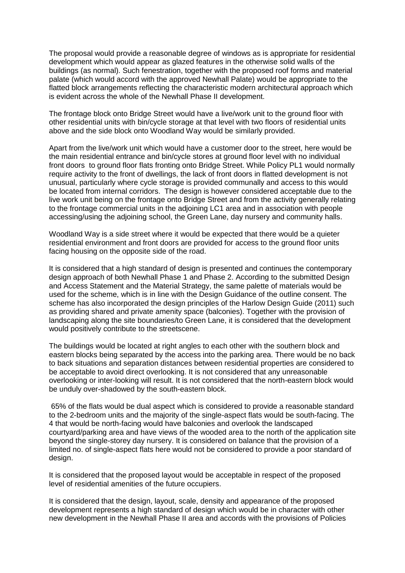The proposal would provide a reasonable degree of windows as is appropriate for residential development which would appear as glazed features in the otherwise solid walls of the buildings (as normal). Such fenestration, together with the proposed roof forms and material palate (which would accord with the approved Newhall Palate) would be appropriate to the flatted block arrangements reflecting the characteristic modern architectural approach which is evident across the whole of the Newhall Phase II development.

The frontage block onto Bridge Street would have a live/work unit to the ground floor with other residential units with bin/cycle storage at that level with two floors of residential units above and the side block onto Woodland Way would be similarly provided.

Apart from the live/work unit which would have a customer door to the street, here would be the main residential entrance and bin/cycle stores at ground floor level with no individual front doors to ground floor flats fronting onto Bridge Street. While Policy PL1 would normally require activity to the front of dwellings, the lack of front doors in flatted development is not unusual, particularly where cycle storage is provided communally and access to this would be located from internal corridors. The design is however considered acceptable due to the live work unit being on the frontage onto Bridge Street and from the activity generally relating to the frontage commercial units in the adjoining LC1 area and in association with people accessing/using the adjoining school, the Green Lane, day nursery and community halls.

Woodland Way is a side street where it would be expected that there would be a quieter residential environment and front doors are provided for access to the ground floor units facing housing on the opposite side of the road.

It is considered that a high standard of design is presented and continues the contemporary design approach of both Newhall Phase 1 and Phase 2. According to the submitted Design and Access Statement and the Material Strategy, the same palette of materials would be used for the scheme, which is in line with the Design Guidance of the outline consent. The scheme has also incorporated the design principles of the Harlow Design Guide (2011) such as providing shared and private amenity space (balconies). Together with the provision of landscaping along the site boundaries/to Green Lane, it is considered that the development would positively contribute to the streetscene.

The buildings would be located at right angles to each other with the southern block and eastern blocks being separated by the access into the parking area. There would be no back to back situations and separation distances between residential properties are considered to be acceptable to avoid direct overlooking. It is not considered that any unreasonable overlooking or inter-looking will result. It is not considered that the north-eastern block would be unduly over-shadowed by the south-eastern block.

65% of the flats would be dual aspect which is considered to provide a reasonable standard to the 2-bedroom units and the majority of the single-aspect flats would be south-facing. The 4 that would be north-facing would have balconies and overlook the landscaped courtyard/parking area and have views of the wooded area to the north of the application site beyond the single-storey day nursery. It is considered on balance that the provision of a limited no. of single-aspect flats here would not be considered to provide a poor standard of design.

It is considered that the proposed layout would be acceptable in respect of the proposed level of residential amenities of the future occupiers.

It is considered that the design, layout, scale, density and appearance of the proposed development represents a high standard of design which would be in character with other new development in the Newhall Phase II area and accords with the provisions of Policies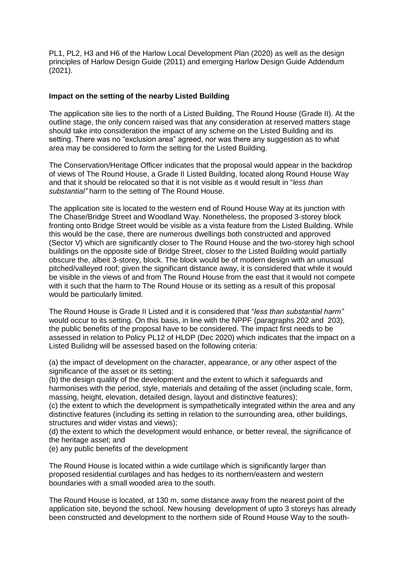PL1, PL2, H3 and H6 of the Harlow Local Development Plan (2020) as well as the design principles of Harlow Design Guide (2011) and emerging Harlow Design Guide Addendum (2021).

## **Impact on the setting of the nearby Listed Building**

The application site lies to the north of a Listed Building, The Round House (Grade II). At the outline stage, the only concern raised was that any consideration at reserved matters stage should take into consideration the impact of any scheme on the Listed Building and its setting. There was no "exclusion area" agreed, nor was there any suggestion as to what area may be considered to form the setting for the Listed Building.

The Conservation/Heritage Officer indicates that the proposal would appear in the backdrop of views of The Round House, a Grade II Listed Building, located along Round House Way and that it should be relocated so that it is not visible as it would result in "*less than substantial"* harm to the setting of The Round House.

The application site is located to the western end of Round House Way at its junction with The Chase/Bridge Street and Woodland Way. Nonetheless, the proposed 3-storey block fronting onto Bridge Street would be visible as a vista feature from the Listed Building. While this would be the case, there are numerous dwellings both constructed and approved (Sector V) which are significantly closer to The Round House and the two-storey high school buildings on the opposite side of Bridge Street, closer to the Listed Building would partially obscure the, albeit 3-storey, block. The block would be of modern design with an unusual pitched/valleyed roof; given the significant distance away, it is considered that while it would be visible in the views of and from The Round House from the east that it would not compete with it such that the harm to The Round House or its setting as a result of this proposal would be particularly limited.

The Round House is Grade II Listed and it is considered that "*less than substantial harm"* would occur to its setting. On this basis, in line with the NPPF (paragraphs 202 and 203), the public benefits of the proposal have to be considered. The impact first needs to be assessed in relation to Policy PL12 of HLDP (Dec 2020) which indicates that the impact on a Listed Builidng will be assessed based on the following criteria:

(a) the impact of development on the character, appearance, or any other aspect of the significance of the asset or its setting;

(b) the design quality of the development and the extent to which it safeguards and harmonises with the period, style, materials and detailing of the asset (including scale, form, massing, height, elevation, detailed design, layout and distinctive features);

(c) the extent to which the development is sympathetically integrated within the area and any distinctive features (including its setting in relation to the surrounding area, other buildings, structures and wider vistas and views);

(d) the extent to which the development would enhance, or better reveal, the significance of the heritage asset; and

(e) any public benefits of the development

The Round House is located within a wide curtilage which is significantly larger than proposed residential curtilages and has hedges to its northern/eastern and western boundaries with a small wooded area to the south.

The Round House is located, at 130 m, some distance away from the nearest point of the application site, beyond the school. New housing development of upto 3 storeys has already been constructed and development to the northern side of Round House Way to the south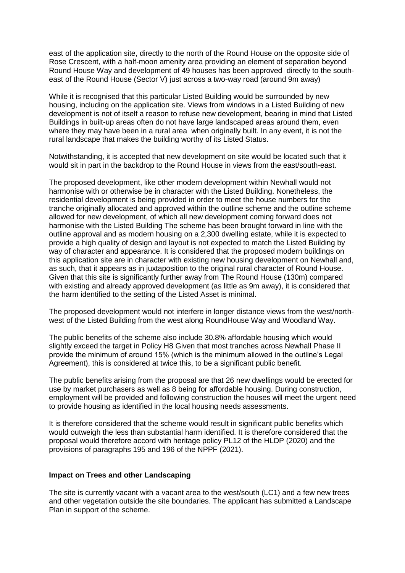east of the application site, directly to the north of the Round House on the opposite side of Rose Crescent, with a half-moon amenity area providing an element of separation beyond Round House Way and development of 49 houses has been approved directly to the southeast of the Round House (Sector V) just across a two-way road (around 9m away)

While it is recognised that this particular Listed Building would be surrounded by new housing, including on the application site. Views from windows in a Listed Building of new development is not of itself a reason to refuse new development, bearing in mind that Listed Buildings in built-up areas often do not have large landscaped areas around them, even where they may have been in a rural area when originally built. In any event, it is not the rural landscape that makes the building worthy of its Listed Status.

Notwithstanding, it is accepted that new development on site would be located such that it would sit in part in the backdrop to the Round House in views from the east/south-east.

The proposed development, like other modern development within Newhall would not harmonise with or otherwise be in character with the Listed Building. Nonetheless, the residential development is being provided in order to meet the house numbers for the tranche originally allocated and approved within the outline scheme and the outline scheme allowed for new development, of which all new development coming forward does not harmonise with the Listed Building The scheme has been brought forward in line with the outline approval and as modern housing on a 2,300 dwelling estate, while it is expected to provide a high quality of design and layout is not expected to match the Listed Building by way of character and appearance. It is considered that the proposed modern buildings on this application site are in character with existing new housing development on Newhall and, as such, that it appears as in juxtaposition to the original rural character of Round House. Given that this site is significantly further away from The Round House (130m) compared with existing and already approved development (as little as 9m away), it is considered that the harm identified to the setting of the Listed Asset is minimal.

The proposed development would not interfere in longer distance views from the west/northwest of the Listed Building from the west along RoundHouse Way and Woodland Way.

The public benefits of the scheme also include 30.8% affordable housing which would slightly exceed the target in Policy H8 Given that most tranches across Newhall Phase II provide the minimum of around 15% (which is the minimum allowed in the outline's Legal Agreement), this is considered at twice this, to be a significant public benefit.

The public benefits arising from the proposal are that 26 new dwellings would be erected for use by market purchasers as well as 8 being for affordable housing. During construction, employment will be provided and following construction the houses will meet the urgent need to provide housing as identified in the local housing needs assessments.

It is therefore considered that the scheme would result in significant public benefits which would outweigh the less than substantial harm identified. It is therefore considered that the proposal would therefore accord with heritage policy PL12 of the HLDP (2020) and the provisions of paragraphs 195 and 196 of the NPPF (2021).

### **Impact on Trees and other Landscaping**

The site is currently vacant with a vacant area to the west/south (LC1) and a few new trees and other vegetation outside the site boundaries. The applicant has submitted a Landscape Plan in support of the scheme.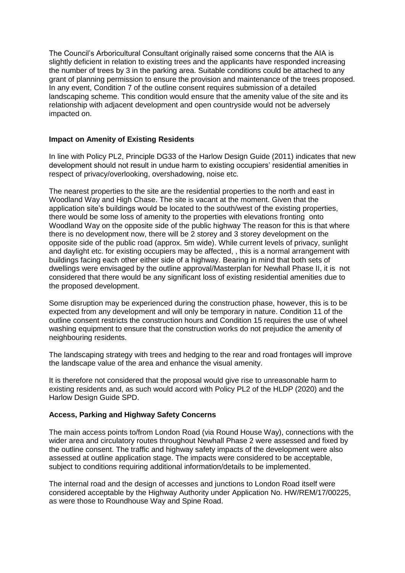The Council's Arboricultural Consultant originally raised some concerns that the AIA is slightly deficient in relation to existing trees and the applicants have responded increasing the number of trees by 3 in the parking area. Suitable conditions could be attached to any grant of planning permission to ensure the provision and maintenance of the trees proposed. In any event, Condition 7 of the outline consent requires submission of a detailed landscaping scheme. This condition would ensure that the amenity value of the site and its relationship with adjacent development and open countryside would not be adversely impacted on.

### **Impact on Amenity of Existing Residents**

In line with Policy PL2, Principle DG33 of the Harlow Design Guide (2011) indicates that new development should not result in undue harm to existing occupiers' residential amenities in respect of privacy/overlooking, overshadowing, noise etc.

The nearest properties to the site are the residential properties to the north and east in Woodland Way and High Chase. The site is vacant at the moment. Given that the application site's buildings would be located to the south/west of the existing properties, there would be some loss of amenity to the properties with elevations fronting onto Woodland Way on the opposite side of the public highway The reason for this is that where there is no development now, there will be 2 storey and 3 storey development on the opposite side of the public road (approx. 5m wide). While current levels of privacy, sunlight and daylight etc. for existing occupiers may be affected, , this is a normal arrangement with buildings facing each other either side of a highway. Bearing in mind that both sets of dwellings were envisaged by the outline approval/Masterplan for Newhall Phase II, it is not considered that there would be any significant loss of existing residential amenities due to the proposed development.

Some disruption may be experienced during the construction phase, however, this is to be expected from any development and will only be temporary in nature. Condition 11 of the outline consent restricts the construction hours and Condition 15 requires the use of wheel washing equipment to ensure that the construction works do not prejudice the amenity of neighbouring residents.

The landscaping strategy with trees and hedging to the rear and road frontages will improve the landscape value of the area and enhance the visual amenity.

It is therefore not considered that the proposal would give rise to unreasonable harm to existing residents and, as such would accord with Policy PL2 of the HLDP (2020) and the Harlow Design Guide SPD.

### **Access, Parking and Highway Safety Concerns**

The main access points to/from London Road (via Round House Way), connections with the wider area and circulatory routes throughout Newhall Phase 2 were assessed and fixed by the outline consent. The traffic and highway safety impacts of the development were also assessed at outline application stage. The impacts were considered to be acceptable, subject to conditions requiring additional information/details to be implemented.

The internal road and the design of accesses and junctions to London Road itself were considered acceptable by the Highway Authority under Application No. HW/REM/17/00225, as were those to Roundhouse Way and Spine Road.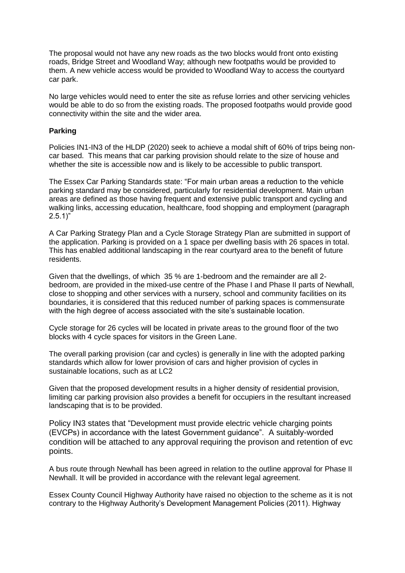The proposal would not have any new roads as the two blocks would front onto existing roads, Bridge Street and Woodland Way; although new footpaths would be provided to them. A new vehicle access would be provided to Woodland Way to access the courtyard car park.

No large vehicles would need to enter the site as refuse lorries and other servicing vehicles would be able to do so from the existing roads. The proposed footpaths would provide good connectivity within the site and the wider area.

## **Parking**

Policies IN1-IN3 of the HLDP (2020) seek to achieve a modal shift of 60% of trips being noncar based. This means that car parking provision should relate to the size of house and whether the site is accessible now and is likely to be accessible to public transport.

The Essex Car Parking Standards state: "For main urban areas a reduction to the vehicle parking standard may be considered, particularly for residential development. Main urban areas are defined as those having frequent and extensive public transport and cycling and walking links, accessing education, healthcare, food shopping and employment (paragraph  $2.5.1$ "

A Car Parking Strategy Plan and a Cycle Storage Strategy Plan are submitted in support of the application. Parking is provided on a 1 space per dwelling basis with 26 spaces in total. This has enabled additional landscaping in the rear courtyard area to the benefit of future residents.

Given that the dwellings, of which 35 % are 1-bedroom and the remainder are all 2 bedroom, are provided in the mixed-use centre of the Phase I and Phase II parts of Newhall, close to shopping and other services with a nursery, school and community facilities on its boundaries, it is considered that this reduced number of parking spaces is commensurate with the high degree of access associated with the site's sustainable location.

Cycle storage for 26 cycles will be located in private areas to the ground floor of the two blocks with 4 cycle spaces for visitors in the Green Lane.

The overall parking provision (car and cycles) is generally in line with the adopted parking standards which allow for lower provision of cars and higher provision of cycles in sustainable locations, such as at LC2

Given that the proposed development results in a higher density of residential provision, limiting car parking provision also provides a benefit for occupiers in the resultant increased landscaping that is to be provided.

Policy IN3 states that "Development must provide electric vehicle charging points (EVCPs) in accordance with the latest Government guidance". A suitably-worded condition will be attached to any approval requiring the provison and retention of evc points.

A bus route through Newhall has been agreed in relation to the outline approval for Phase II Newhall. It will be provided in accordance with the relevant legal agreement.

Essex County Council Highway Authority have raised no objection to the scheme as it is not contrary to the Highway Authority's Development Management Policies (2011). Highway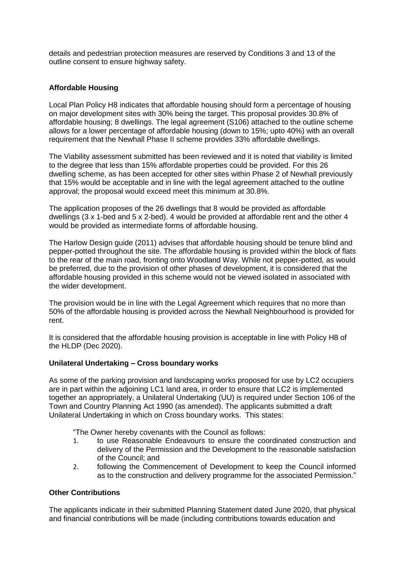details and pedestrian protection measures are reserved by Conditions 3 and 13 of the outline consent to ensure highway safety.

## **Affordable Housing**

Local Plan Policy H8 indicates that affordable housing should form a percentage of housing on major development sites with 30% being the target. This proposal provides 30.8% of affordable housing; 8 dwellings. The legal agreement (S106) attached to the outline scheme allows for a lower percentage of affordable housing (down to 15%; upto 40%) with an overall requirement that the Newhall Phase II scheme provides 33% affordable dwellings.

The Viability assessment submitted has been reviewed and it is noted that viability is limited to the degree that less than 15% affordable properties could be provided. For this 26 dwelling scheme, as has been accepted for other sites within Phase 2 of Newhall previously that 15% would be acceptable and in line with the legal agreement attached to the outline approval; the proposal would exceed meet this minimum at 30.8%.

The application proposes of the 26 dwellings that 8 would be provided as affordable dwellings (3 x 1-bed and 5 x 2-bed). 4 would be provided at affordable rent and the other 4 would be provided as intermediate forms of affordable housing.

The Harlow Design guide (2011) advises that affordable housing should be tenure blind and pepper-potted throughout the site. The affordable housing is provided within the block of flats to the rear of the main road, fronting onto Woodland Way. While not pepper-potted, as would be preferred, due to the provision of other phases of development, it is considered that the affordable housing provided in this scheme would not be viewed isolated in associated with the wider development.

The provision would be in line with the Legal Agreement which requires that no more than 50% of the affordable housing is provided across the Newhall Neighbourhood is provided for rent.

It is considered that the affordable housing provision is acceptable in line with Policy H8 of the HLDP (Dec 2020).

## **Unilateral Undertaking – Cross boundary works**

As some of the parking provision and landscaping works proposed for use by LC2 occupiers are in part within the adjoining LC1 land area, in order to ensure that LC2 is implemented together an appropriately, a Unilateral Undertaking (UU) is required under Section 106 of the Town and Country Planning Act 1990 (as amended). The applicants submitted a draft Unilateral Undertaking in which on Cross boundary works. This states:

"The Owner hereby covenants with the Council as follows:

- 1. to use Reasonable Endeavours to ensure the coordinated construction and delivery of the Permission and the Development to the reasonable satisfaction of the Council; and
- 2. following the Commencement of Development to keep the Council informed as to the construction and delivery programme for the associated Permission."

### **Other Contributions**

The applicants indicate in their submitted Planning Statement dated June 2020, that physical and financial contributions will be made (including contributions towards education and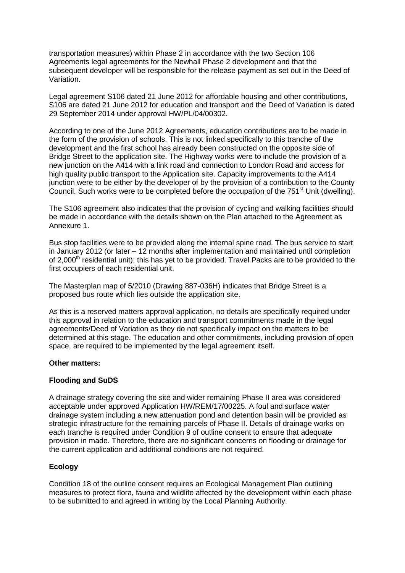transportation measures) within Phase 2 in accordance with the two Section 106 Agreements legal agreements for the Newhall Phase 2 development and that the subsequent developer will be responsible for the release payment as set out in the Deed of Variation.

Legal agreement S106 dated 21 June 2012 for affordable housing and other contributions, S106 are dated 21 June 2012 for education and transport and the Deed of Variation is dated 29 September 2014 under approval HW/PL/04/00302.

According to one of the June 2012 Agreements, education contributions are to be made in the form of the provision of schools. This is not linked specifically to this tranche of the development and the first school has already been constructed on the opposite side of Bridge Street to the application site. The Highway works were to include the provision of a new junction on the A414 with a link road and connection to London Road and access for high quality public transport to the Application site. Capacity improvements to the A414 junction were to be either by the developer of by the provision of a contribution to the County Council. Such works were to be completed before the occupation of the  $751<sup>st</sup>$  Unit (dwelling).

The S106 agreement also indicates that the provision of cycling and walking facilities should be made in accordance with the details shown on the Plan attached to the Agreement as Annexure 1.

Bus stop facilities were to be provided along the internal spine road. The bus service to start in January 2012 (or later – 12 months after implementation and maintained until completion of 2,000<sup>th</sup> residential unit); this has yet to be provided. Travel Packs are to be provided to the first occupiers of each residential unit.

The Masterplan map of 5/2010 (Drawing 887-036H) indicates that Bridge Street is a proposed bus route which lies outside the application site.

As this is a reserved matters approval application, no details are specifically required under this approval in relation to the education and transport commitments made in the legal agreements/Deed of Variation as they do not specifically impact on the matters to be determined at this stage. The education and other commitments, including provision of open space, are required to be implemented by the legal agreement itself.

### **Other matters:**

## **Flooding and SuDS**

A drainage strategy covering the site and wider remaining Phase II area was considered acceptable under approved Application HW/REM/17/00225. A foul and surface water drainage system including a new attenuation pond and detention basin will be provided as strategic infrastructure for the remaining parcels of Phase II. Details of drainage works on each tranche is required under Condition 9 of outline consent to ensure that adequate provision in made. Therefore, there are no significant concerns on flooding or drainage for the current application and additional conditions are not required.

## **Ecology**

Condition 18 of the outline consent requires an Ecological Management Plan outlining measures to protect flora, fauna and wildlife affected by the development within each phase to be submitted to and agreed in writing by the Local Planning Authority.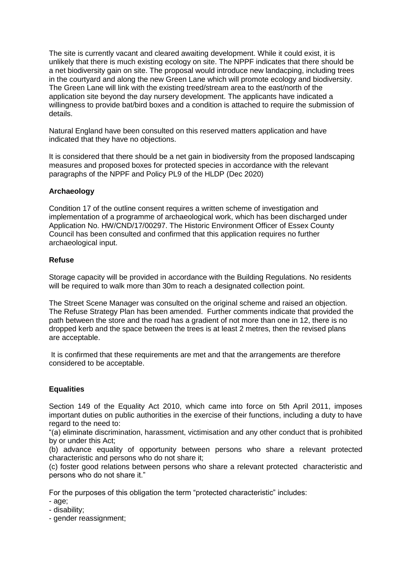The site is currently vacant and cleared awaiting development. While it could exist, it is unlikely that there is much existing ecology on site. The NPPF indicates that there should be a net biodiversity gain on site. The proposal would introduce new landacping, including trees in the courtyard and along the new Green Lane which will promote ecology and biodiversity. The Green Lane will link with the existing treed/stream area to the east/north of the application site beyond the day nursery development. The applicants have indicated a willingness to provide bat/bird boxes and a condition is attached to require the submission of details.

Natural England have been consulted on this reserved matters application and have indicated that they have no objections.

It is considered that there should be a net gain in biodiversity from the proposed landscaping measures and proposed boxes for protected species in accordance with the relevant paragraphs of the NPPF and Policy PL9 of the HLDP (Dec 2020)

## **Archaeology**

Condition 17 of the outline consent requires a written scheme of investigation and implementation of a programme of archaeological work, which has been discharged under Application No. HW/CND/17/00297. The Historic Environment Officer of Essex County Council has been consulted and confirmed that this application requires no further archaeological input.

### **Refuse**

Storage capacity will be provided in accordance with the Building Regulations. No residents will be required to walk more than 30m to reach a designated collection point.

The Street Scene Manager was consulted on the original scheme and raised an objection. The Refuse Strategy Plan has been amended. Further comments indicate that provided the path between the store and the road has a gradient of not more than one in 12, there is no dropped kerb and the space between the trees is at least 2 metres, then the revised plans are acceptable.

It is confirmed that these requirements are met and that the arrangements are therefore considered to be acceptable.

## **Equalities**

Section 149 of the Equality Act 2010, which came into force on 5th April 2011, imposes important duties on public authorities in the exercise of their functions, including a duty to have regard to the need to:

"(a) eliminate discrimination, harassment, victimisation and any other conduct that is prohibited by or under this Act;

(b) advance equality of opportunity between persons who share a relevant protected characteristic and persons who do not share it;

(c) foster good relations between persons who share a relevant protected characteristic and persons who do not share it."

For the purposes of this obligation the term "protected characteristic" includes:

- age;
- disability;
- gender reassignment;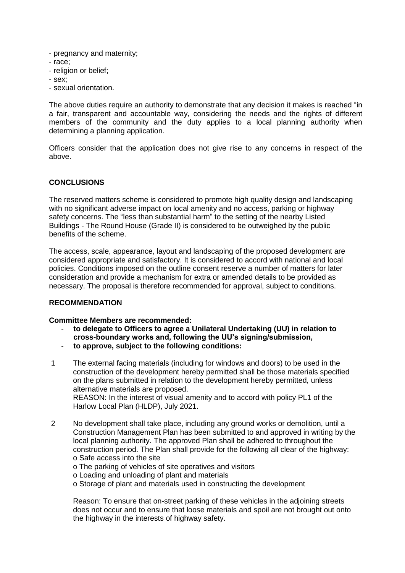- pregnancy and maternity;
- race;
- religion or belief;
- sex;
- sexual orientation.

The above duties require an authority to demonstrate that any decision it makes is reached "in a fair, transparent and accountable way, considering the needs and the rights of different members of the community and the duty applies to a local planning authority when determining a planning application.

Officers consider that the application does not give rise to any concerns in respect of the above.

## **CONCLUSIONS**

The reserved matters scheme is considered to promote high quality design and landscaping with no significant adverse impact on local amenity and no access, parking or highway safety concerns. The "less than substantial harm" to the setting of the nearby Listed Buildings - The Round House (Grade II) is considered to be outweighed by the public benefits of the scheme.

The access, scale, appearance, layout and landscaping of the proposed development are considered appropriate and satisfactory. It is considered to accord with national and local policies. Conditions imposed on the outline consent reserve a number of matters for later consideration and provide a mechanism for extra or amended details to be provided as necessary. The proposal is therefore recommended for approval, subject to conditions.

## **RECOMMENDATION**

### **Committee Members are recommended:**

- **to delegate to Officers to agree a Unilateral Undertaking (UU) in relation to cross-boundary works and, following the UU's signing/submission,**
- **to approve, subject to the following conditions:**
- 1 The external facing materials (including for windows and doors) to be used in the construction of the development hereby permitted shall be those materials specified on the plans submitted in relation to the development hereby permitted, unless alternative materials are proposed. REASON: In the interest of visual amenity and to accord with policy PL1 of the Harlow Local Plan (HLDP), July 2021.
- 2 No development shall take place, including any ground works or demolition, until a Construction Management Plan has been submitted to and approved in writing by the local planning authority. The approved Plan shall be adhered to throughout the construction period. The Plan shall provide for the following all clear of the highway: o Safe access into the site
	- o The parking of vehicles of site operatives and visitors
	- o Loading and unloading of plant and materials
	- o Storage of plant and materials used in constructing the development

Reason: To ensure that on-street parking of these vehicles in the adjoining streets does not occur and to ensure that loose materials and spoil are not brought out onto the highway in the interests of highway safety.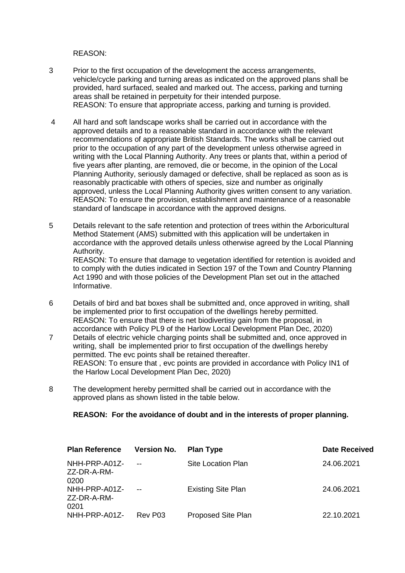REASON:

- 3 Prior to the first occupation of the development the access arrangements, vehicle/cycle parking and turning areas as indicated on the approved plans shall be provided, hard surfaced, sealed and marked out. The access, parking and turning areas shall be retained in perpetuity for their intended purpose. REASON: To ensure that appropriate access, parking and turning is provided.
- 4 All hard and soft landscape works shall be carried out in accordance with the approved details and to a reasonable standard in accordance with the relevant recommendations of appropriate British Standards. The works shall be carried out prior to the occupation of any part of the development unless otherwise agreed in writing with the Local Planning Authority. Any trees or plants that, within a period of five years after planting, are removed, die or become, in the opinion of the Local Planning Authority, seriously damaged or defective, shall be replaced as soon as is reasonably practicable with others of species, size and number as originally approved, unless the Local Planning Authority gives written consent to any variation. REASON: To ensure the provision, establishment and maintenance of a reasonable standard of landscape in accordance with the approved designs.
- 5 Details relevant to the safe retention and protection of trees within the Arboricultural Method Statement (AMS) submitted with this application will be undertaken in accordance with the approved details unless otherwise agreed by the Local Planning Authority. REASON: To ensure that damage to vegetation identified for retention is avoided and to comply with the duties indicated in Section 197 of the Town and Country Planning Act 1990 and with those policies of the Development Plan set out in the attached Informative.
- 6 Details of bird and bat boxes shall be submitted and, once approved in writing, shall be implemented prior to first occupation of the dwellings hereby permitted. REASON: To ensure that there is net biodivertisy gain from the proposal, in accordance with Policy PL9 of the Harlow Local Development Plan Dec, 2020)
- 7 Details of electric vehicle charging points shall be submitted and, once approved in writing, shall be implemented prior to first occupation of the dwellings hereby permitted. The evc points shall be retained thereafter. REASON: To ensure that , evc points are provided in accordance with Policy IN1 of the Harlow Local Development Plan Dec, 2020)
- 8 The development hereby permitted shall be carried out in accordance with the approved plans as shown listed in the table below.

## **REASON: For the avoidance of doubt and in the interests of proper planning.**

| <b>Plan Reference</b>                 | <b>Version No.</b> | <b>Plan Type</b>          | <b>Date Received</b> |
|---------------------------------------|--------------------|---------------------------|----------------------|
| NHH-PRP-A01Z-<br>ZZ-DR-A-RM-<br>.0200 | $- -$              | Site Location Plan        | 24.06.2021           |
| NHH-PRP-A01Z-<br>ZZ-DR-A-RM-<br>0201  |                    | <b>Existing Site Plan</b> | 24.06.2021           |
| NHH-PRP-A01Z-                         | Rev P03            | Proposed Site Plan        | 22.10.2021           |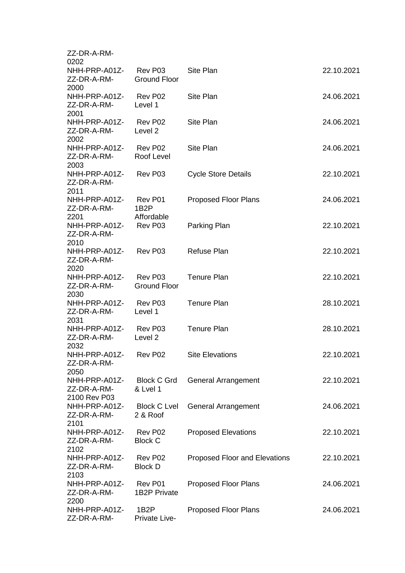| ZZ-DR-A-RM-                          |                                            |                               |            |
|--------------------------------------|--------------------------------------------|-------------------------------|------------|
| 0202                                 |                                            |                               |            |
| NHH-PRP-A01Z-<br>ZZ-DR-A-RM-<br>2000 | Rev P03<br><b>Ground Floor</b>             | <b>Site Plan</b>              | 22.10.2021 |
| NHH-PRP-A01Z-                        | Rev P02                                    | <b>Site Plan</b>              | 24.06.2021 |
| ZZ-DR-A-RM-<br>2001                  | Level 1                                    |                               |            |
| NHH-PRP-A01Z-                        | Rev P02                                    | <b>Site Plan</b>              | 24.06.2021 |
| ZZ-DR-A-RM-<br>2002                  | Level <sub>2</sub>                         |                               |            |
| NHH-PRP-A01Z-                        | Rev P02                                    | <b>Site Plan</b>              | 24.06.2021 |
| ZZ-DR-A-RM-<br>2003                  | Roof Level                                 |                               |            |
| NHH-PRP-A01Z-<br>ZZ-DR-A-RM-         | Rev P03                                    | <b>Cycle Store Details</b>    | 22.10.2021 |
| 2011                                 |                                            |                               |            |
| NHH-PRP-A01Z-<br>ZZ-DR-A-RM-<br>2201 | Rev P01<br>1B <sub>2</sub> P<br>Affordable | <b>Proposed Floor Plans</b>   | 24.06.2021 |
|                                      |                                            |                               |            |
| NHH-PRP-A01Z-<br>ZZ-DR-A-RM-<br>2010 | Rev P03                                    | Parking Plan                  | 22.10.2021 |
| NHH-PRP-A01Z-                        | Rev P03                                    | <b>Refuse Plan</b>            | 22.10.2021 |
| ZZ-DR-A-RM-<br>2020                  |                                            |                               |            |
| NHH-PRP-A01Z-                        | Rev P03                                    | <b>Tenure Plan</b>            | 22.10.2021 |
| ZZ-DR-A-RM-<br>2030                  | <b>Ground Floor</b>                        |                               |            |
| NHH-PRP-A01Z-                        | Rev P03                                    | <b>Tenure Plan</b>            | 28.10.2021 |
| ZZ-DR-A-RM-<br>2031                  | Level 1                                    |                               |            |
| NHH-PRP-A01Z-                        | Rev P03                                    | <b>Tenure Plan</b>            | 28.10.2021 |
| ZZ-DR-A-RM-<br>2032                  | Level <sub>2</sub>                         |                               |            |
| NHH-PRP-A01Z-<br>ZZ-DR-A-RM-<br>2050 | Rev P02                                    | <b>Site Elevations</b>        | 22.10.2021 |
| NHH-PRP-A01Z-                        | <b>Block C Grd</b>                         | General Arrangement           | 22.10.2021 |
| ZZ-DR-A-RM-<br>2100 Rev P03          | & Lvel 1                                   |                               |            |
| NHH-PRP-A01Z-                        | <b>Block C Lvel</b>                        | <b>General Arrangement</b>    | 24.06.2021 |
| ZZ-DR-A-RM-<br>2101                  | 2 & Roof                                   |                               |            |
| NHH-PRP-A01Z-                        | Rev P02                                    | <b>Proposed Elevations</b>    | 22.10.2021 |
| ZZ-DR-A-RM-<br>2102                  | <b>Block C</b>                             |                               |            |
| NHH-PRP-A01Z-                        | Rev P02                                    | Proposed Floor and Elevations | 22.10.2021 |
| ZZ-DR-A-RM-<br>2103                  | <b>Block D</b>                             |                               |            |
| NHH-PRP-A01Z-                        | Rev P01                                    | <b>Proposed Floor Plans</b>   | 24.06.2021 |
| ZZ-DR-A-RM-<br>2200                  | <b>1B2P Private</b>                        |                               |            |
| NHH-PRP-A01Z-<br>ZZ-DR-A-RM-         | 1B <sub>2</sub> P<br>Private Live-         | <b>Proposed Floor Plans</b>   | 24.06.2021 |
|                                      |                                            |                               |            |